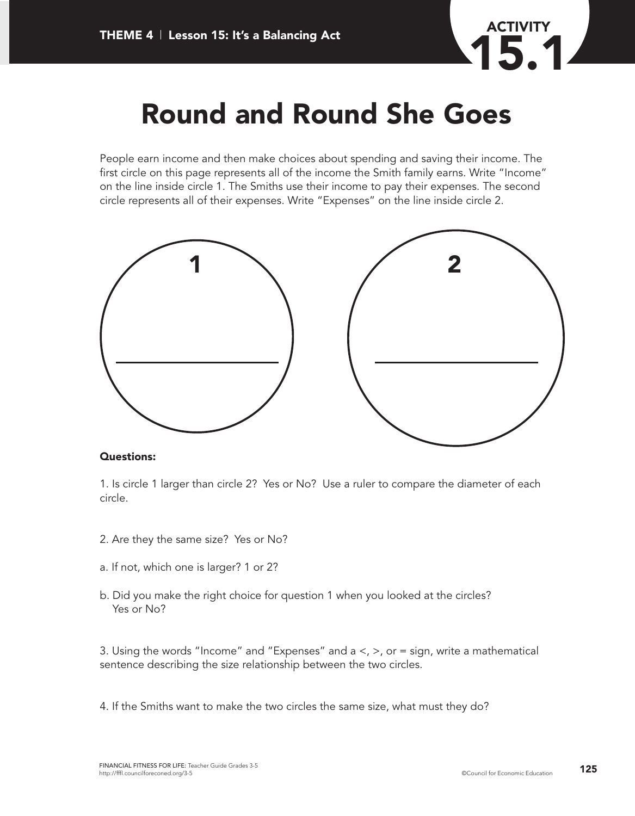

### **Round and Round She Goes**

People earn income and then make choices about spending and saving their income. The first circle on this page represents all of the income the Smith family earns. Write "Income" on the line inside circle 1. The Smiths use their income to pay their expenses. The second circle represents all of their expenses. Write "Expenses" on the line inside circle 2.



#### **Questions:**

1. Is circle 1 larger than circle 2? Yes or No? Use a ruler to compare the diameter of each circle.

- 2. Are they the same size? Yes or No?
- a. If not, which one is larger? 1 or 2?
- b. Did you make the right choice for question 1 when you looked at the circles? Yes or No?

3. Using the words "Income" and "Expenses" and  $a <, >$ , or = sign, write a mathematical sentence describing the size relationship between the two circles.

4. If the Smiths want to make the two circles the same size, what must they do?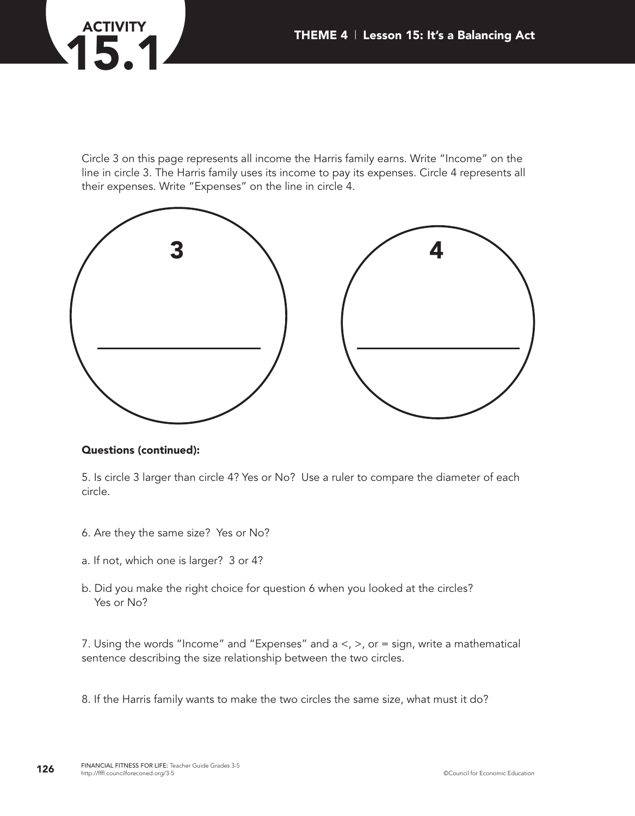# **ACTIVITY 15.11 THEME 4** | Lesson 15: It's a Balancing Act

Circle 3 on this page represents all income the Harris family earns. Write "Income" on the line in circle 3. The Harris family uses its income to pay its expenses. Circle 4 represents all their expenses. Write "Expenses" on the line in circle 4.



#### **Questions (continued):**

5. Is circle 3 larger than circle 4? Yes or No? Use a ruler to compare the diameter of each circle.

- 6. Are they the same size? Yes or No?
- a. If not, which one is larger? 3 or 4?
- b. Did you make the right choice for question 6 when you looked at the circles? Yes or No?

7. Using the words "Income" and "Expenses" and  $a <, >$ , or = sign, write a mathematical sentence describing the size relationship between the two circles.

8. If the Harris family wants to make the two circles the same size, what must it do?